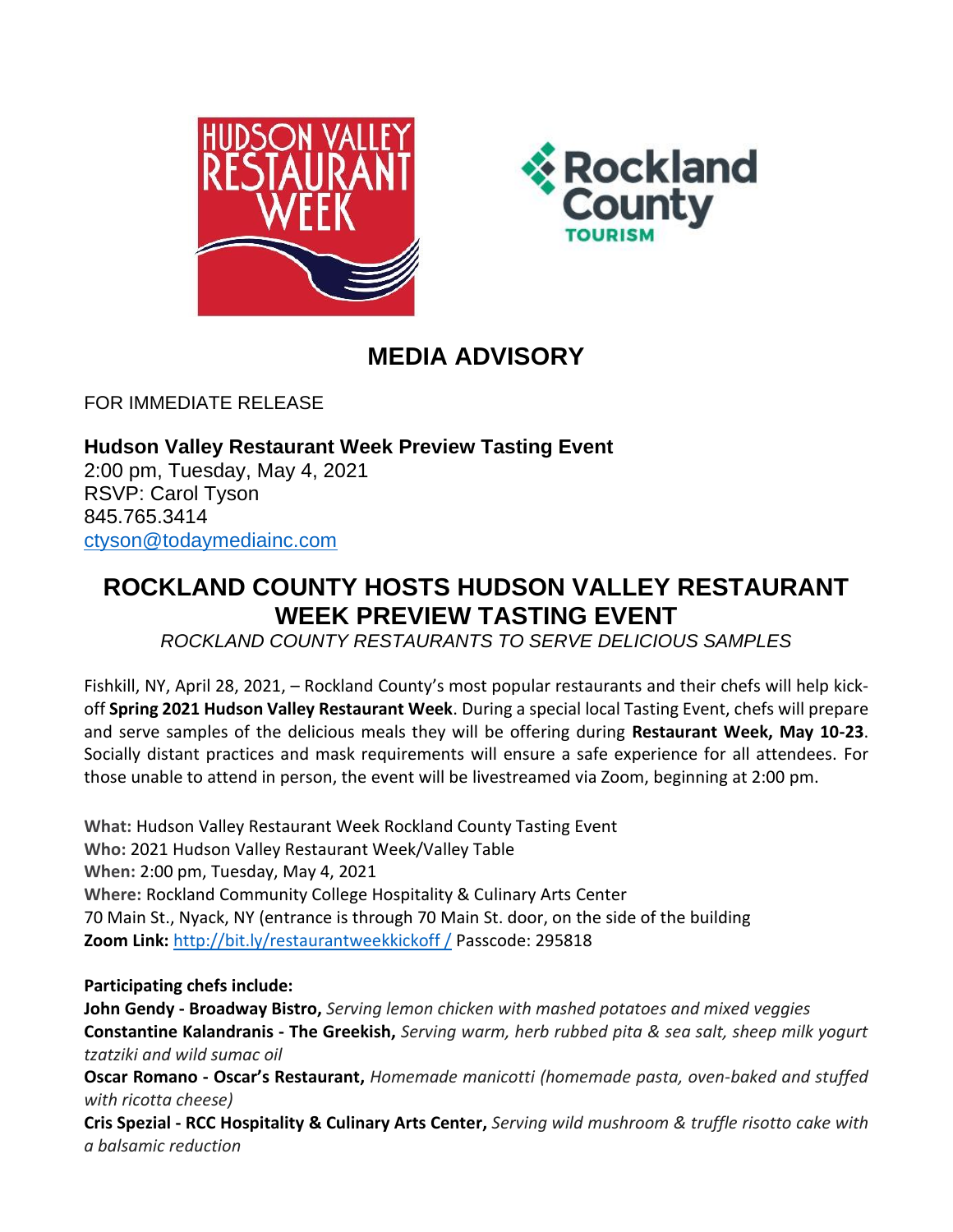



## **MEDIA ADVISORY**

FOR IMMEDIATE RELEASE

**Hudson Valley Restaurant Week Preview Tasting Event** 2:00 pm, Tuesday, May 4, 2021 RSVP: Carol Tyson 845.765.3414 [ctyson@todaymediainc.com](mailto:ctyson@todaymediainc.com)

## **ROCKLAND COUNTY HOSTS HUDSON VALLEY RESTAURANT WEEK PREVIEW TASTING EVENT**

*ROCKLAND COUNTY RESTAURANTS TO SERVE DELICIOUS SAMPLES*

Fishkill, NY, April 28, 2021, – Rockland County's most popular restaurants and their chefs will help kickoff **Spring 2021 Hudson Valley Restaurant Week**. During a special local Tasting Event, chefs will prepare and serve samples of the delicious meals they will be offering during **Restaurant Week, May 10-23**. Socially distant practices and mask requirements will ensure a safe experience for all attendees. For those unable to attend in person, the event will be livestreamed via Zoom, beginning at 2:00 pm.

**What:** Hudson Valley Restaurant Week Rockland County Tasting Event **Who:** 2021 Hudson Valley Restaurant Week/Valley Table **When:** 2:00 pm, Tuesday, May 4, 2021 **Where:** Rockland Community College Hospitality & Culinary Arts Center 70 Main St., Nyack, NY (entrance is through 70 Main St. door, on the side of the building **Zoom Link:** [http://bit.ly/restaurantweekkickoff /](http://bit.ly/restaurantweekkickoff%20/) Passcode: 295818

## **Participating chefs include:**

**John Gendy - Broadway Bistro,** *Serving lemon chicken with mashed potatoes and mixed veggies* **Constantine Kalandranis - The Greekish,** *Serving warm, herb rubbed pita & sea salt, sheep milk yogurt tzatziki and wild sumac oil*

**Oscar Romano - Oscar's Restaurant,** *Homemade manicotti (homemade pasta, oven-baked and stuffed with ricotta cheese)*

**Cris Spezial - RCC Hospitality & Culinary Arts Center,** *Serving wild mushroom & truffle risotto cake with a balsamic reduction*